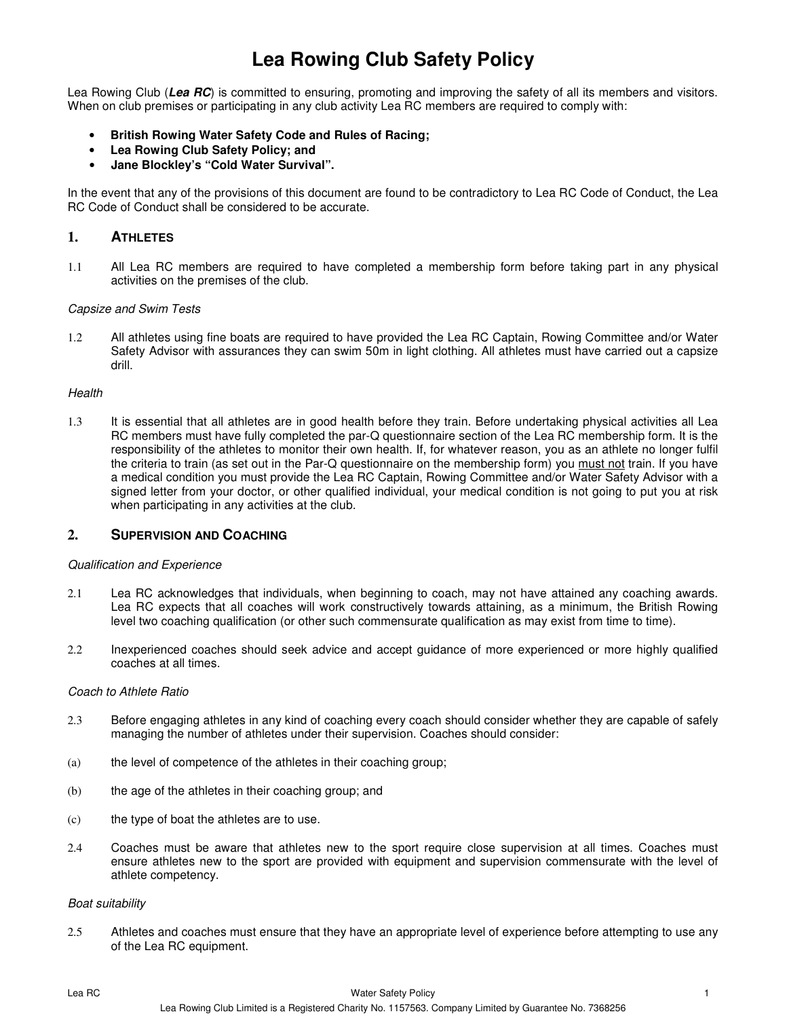# **Lea Rowing Club Safety Policy**

Lea Rowing Club (**Lea RC**) is committed to ensuring, promoting and improving the safety of all its members and visitors. When on club premises or participating in any club activity Lea RC members are required to comply with:

- **British Rowing Water Safety Code and Rules of Racing;**
- **Lea Rowing Club Safety Policy; and**
- **Jane Blockley's "Cold Water Survival".**

In the event that any of the provisions of this document are found to be contradictory to Lea RC Code of Conduct, the Lea RC Code of Conduct shall be considered to be accurate.

## **1. ATHLETES**

1.1 All Lea RC members are required to have completed a membership form before taking part in any physical activities on the premises of the club.

#### Capsize and Swim Tests

1.2 All athletes using fine boats are required to have provided the Lea RC Captain, Rowing Committee and/or Water Safety Advisor with assurances they can swim 50m in light clothing. All athletes must have carried out a capsize drill.

#### **Health**

1.3 It is essential that all athletes are in good health before they train. Before undertaking physical activities all Lea RC members must have fully completed the par-Q questionnaire section of the Lea RC membership form. It is the responsibility of the athletes to monitor their own health. If, for whatever reason, you as an athlete no longer fulfil the criteria to train (as set out in the Par-Q questionnaire on the membership form) you must not train. If you have a medical condition you must provide the Lea RC Captain, Rowing Committee and/or Water Safety Advisor with a signed letter from your doctor, or other qualified individual, your medical condition is not going to put you at risk when participating in any activities at the club.

## **2. SUPERVISION AND COACHING**

#### Qualification and Experience

- 2.1 Lea RC acknowledges that individuals, when beginning to coach, may not have attained any coaching awards. Lea RC expects that all coaches will work constructively towards attaining, as a minimum, the British Rowing level two coaching qualification (or other such commensurate qualification as may exist from time to time).
- 2.2 Inexperienced coaches should seek advice and accept guidance of more experienced or more highly qualified coaches at all times.

#### Coach to Athlete Ratio

- 2.3 Before engaging athletes in any kind of coaching every coach should consider whether they are capable of safely managing the number of athletes under their supervision. Coaches should consider:
- (a) the level of competence of the athletes in their coaching group;
- (b) the age of the athletes in their coaching group; and
- (c) the type of boat the athletes are to use.
- 2.4 Coaches must be aware that athletes new to the sport require close supervision at all times. Coaches must ensure athletes new to the sport are provided with equipment and supervision commensurate with the level of athlete competency.

### Boat suitability

2.5 Athletes and coaches must ensure that they have an appropriate level of experience before attempting to use any of the Lea RC equipment.

#### Lea RC **Community Contract Contract Contract Contract Contract Contract Contract Contract Contract Contract Contract Contract Contract Contract Contract Contract Contract Contract Contract Contract Contract Contract Contra** Lea Rowing Club Limited is a Registered Charity No. 1157563. Company Limited by Guarantee No. 7368256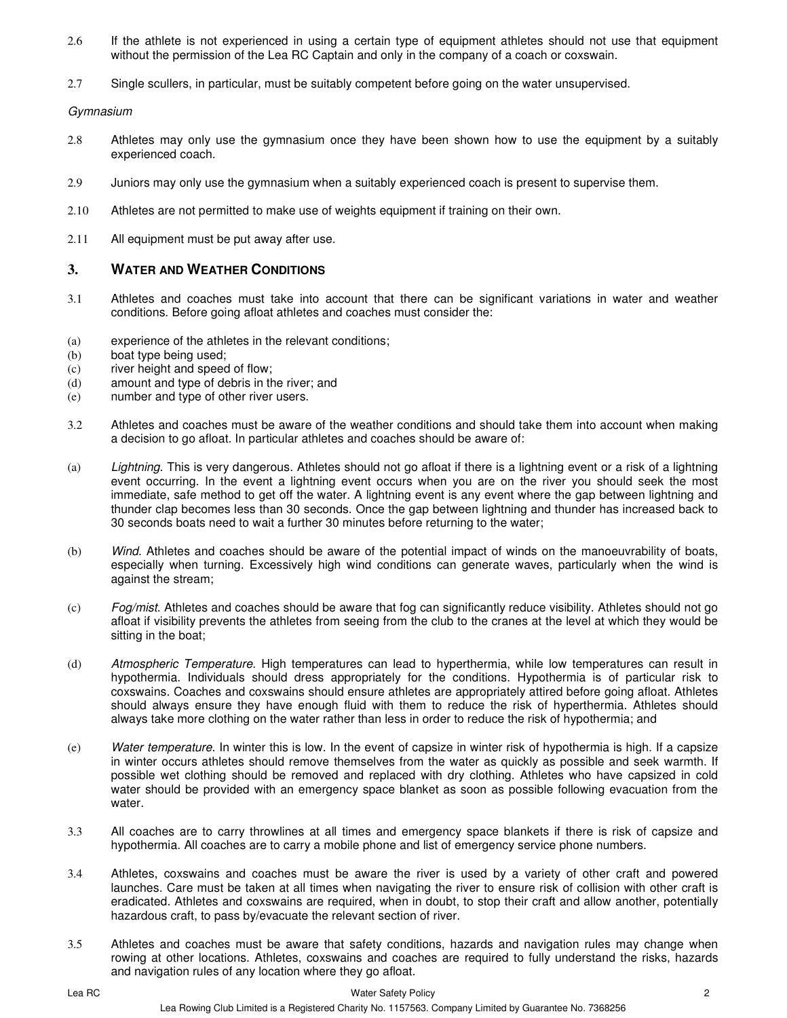- 2.6 If the athlete is not experienced in using a certain type of equipment athletes should not use that equipment without the permission of the Lea RC Captain and only in the company of a coach or coxswain.
- 2.7 Single scullers, in particular, must be suitably competent before going on the water unsupervised.

Gymnasium

- 2.8 Athletes may only use the gymnasium once they have been shown how to use the equipment by a suitably experienced coach.
- 2.9 Juniors may only use the gymnasium when a suitably experienced coach is present to supervise them.
- 2.10 Athletes are not permitted to make use of weights equipment if training on their own.
- 2.11 All equipment must be put away after use.

## **3. WATER AND WEATHER CONDITIONS**

- 3.1 Athletes and coaches must take into account that there can be significant variations in water and weather conditions. Before going afloat athletes and coaches must consider the:
- (a) experience of the athletes in the relevant conditions;
- (b) boat type being used;
- (c) river height and speed of flow;
- (d) amount and type of debris in the river; and
- (e) number and type of other river users.
- 3.2 Athletes and coaches must be aware of the weather conditions and should take them into account when making a decision to go afloat. In particular athletes and coaches should be aware of:
- (a) Lightning. This is very dangerous. Athletes should not go afloat if there is a lightning event or a risk of a lightning event occurring. In the event a lightning event occurs when you are on the river you should seek the most immediate, safe method to get off the water. A lightning event is any event where the gap between lightning and thunder clap becomes less than 30 seconds. Once the gap between lightning and thunder has increased back to 30 seconds boats need to wait a further 30 minutes before returning to the water;
- (b) Wind. Athletes and coaches should be aware of the potential impact of winds on the manoeuvrability of boats, especially when turning. Excessively high wind conditions can generate waves, particularly when the wind is against the stream;
- (c) Fog/mist. Athletes and coaches should be aware that fog can significantly reduce visibility. Athletes should not go afloat if visibility prevents the athletes from seeing from the club to the cranes at the level at which they would be sitting in the boat;
- (d) Atmospheric Temperature. High temperatures can lead to hyperthermia, while low temperatures can result in hypothermia. Individuals should dress appropriately for the conditions. Hypothermia is of particular risk to coxswains. Coaches and coxswains should ensure athletes are appropriately attired before going afloat. Athletes should always ensure they have enough fluid with them to reduce the risk of hyperthermia. Athletes should always take more clothing on the water rather than less in order to reduce the risk of hypothermia; and
- (e) Water temperature. In winter this is low. In the event of capsize in winter risk of hypothermia is high. If a capsize in winter occurs athletes should remove themselves from the water as quickly as possible and seek warmth. If possible wet clothing should be removed and replaced with dry clothing. Athletes who have capsized in cold water should be provided with an emergency space blanket as soon as possible following evacuation from the water.
- 3.3 All coaches are to carry throwlines at all times and emergency space blankets if there is risk of capsize and hypothermia. All coaches are to carry a mobile phone and list of emergency service phone numbers.
- 3.4 Athletes, coxswains and coaches must be aware the river is used by a variety of other craft and powered launches. Care must be taken at all times when navigating the river to ensure risk of collision with other craft is eradicated. Athletes and coxswains are required, when in doubt, to stop their craft and allow another, potentially hazardous craft, to pass by/evacuate the relevant section of river.
- 3.5 Athletes and coaches must be aware that safety conditions, hazards and navigation rules may change when rowing at other locations. Athletes, coxswains and coaches are required to fully understand the risks, hazards and navigation rules of any location where they go afloat.

#### Lea RC Water Safety Policy 2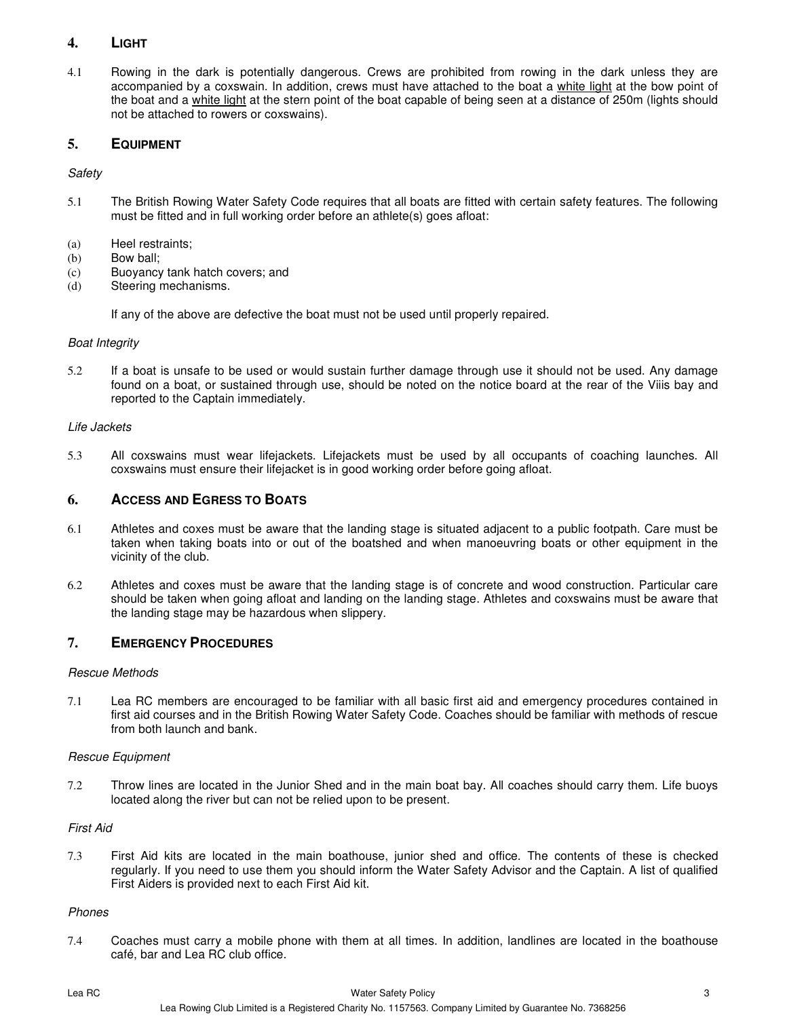## **4. LIGHT**

4.1 Rowing in the dark is potentially dangerous. Crews are prohibited from rowing in the dark unless they are accompanied by a coxswain. In addition, crews must have attached to the boat a white light at the bow point of the boat and a white light at the stern point of the boat capable of being seen at a distance of 250m (lights should not be attached to rowers or coxswains).

## **5. EQUIPMENT**

## **Safety**

- 5.1 The British Rowing Water Safety Code requires that all boats are fitted with certain safety features. The following must be fitted and in full working order before an athlete(s) goes afloat:
- (a) Heel restraints;
- (b) Bow ball;
- (c) Buoyancy tank hatch covers; and
- (d) Steering mechanisms.

If any of the above are defective the boat must not be used until properly repaired.

## Boat Integrity

5.2 If a boat is unsafe to be used or would sustain further damage through use it should not be used. Any damage found on a boat, or sustained through use, should be noted on the notice board at the rear of the Viiis bay and reported to the Captain immediately.

#### Life Jackets

5.3 All coxswains must wear lifejackets. Lifejackets must be used by all occupants of coaching launches. All coxswains must ensure their lifejacket is in good working order before going afloat.

## **6. ACCESS AND EGRESS TO BOATS**

- 6.1 Athletes and coxes must be aware that the landing stage is situated adjacent to a public footpath. Care must be taken when taking boats into or out of the boatshed and when manoeuvring boats or other equipment in the vicinity of the club.
- 6.2 Athletes and coxes must be aware that the landing stage is of concrete and wood construction. Particular care should be taken when going afloat and landing on the landing stage. Athletes and coxswains must be aware that the landing stage may be hazardous when slippery.

## **7. EMERGENCY PROCEDURES**

## Rescue Methods

7.1 Lea RC members are encouraged to be familiar with all basic first aid and emergency procedures contained in first aid courses and in the British Rowing Water Safety Code. Coaches should be familiar with methods of rescue from both launch and bank.

#### Rescue Equipment

7.2 Throw lines are located in the Junior Shed and in the main boat bay. All coaches should carry them. Life buoys located along the river but can not be relied upon to be present.

#### First Aid

7.3 First Aid kits are located in the main boathouse, junior shed and office. The contents of these is checked regularly. If you need to use them you should inform the Water Safety Advisor and the Captain. A list of qualified First Aiders is provided next to each First Aid kit.

#### Phones

7.4 Coaches must carry a mobile phone with them at all times. In addition, landlines are located in the boathouse café, bar and Lea RC club office.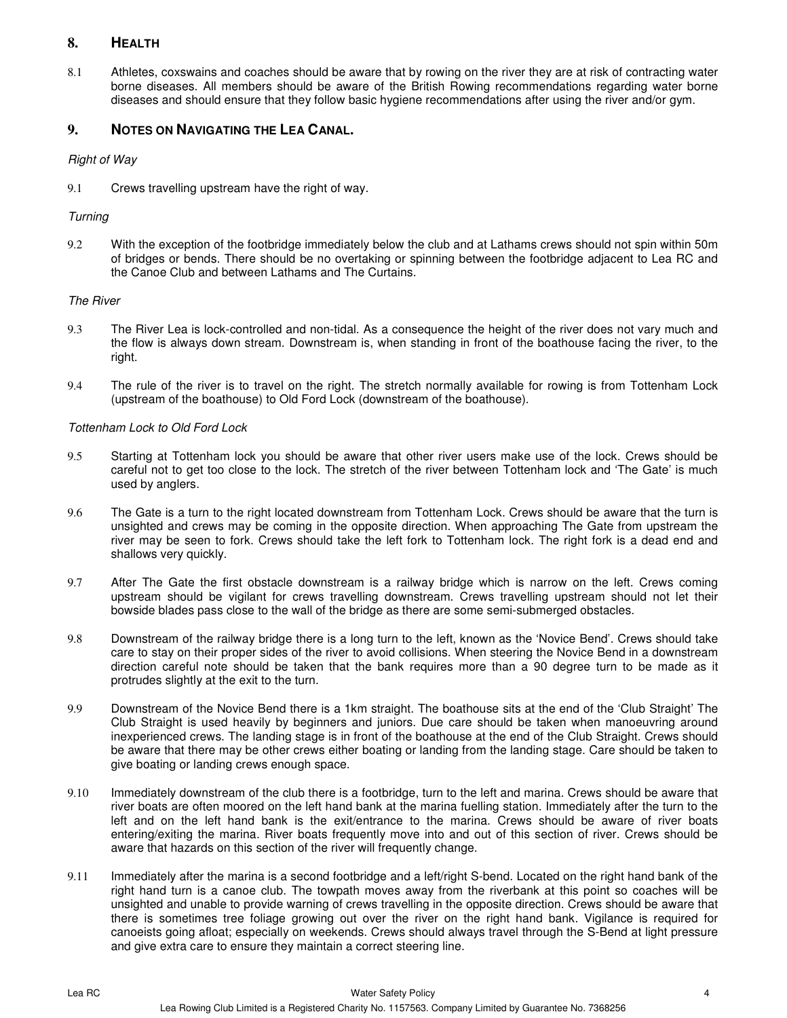# **8. HEALTH**

8.1 Athletes, coxswains and coaches should be aware that by rowing on the river they are at risk of contracting water borne diseases. All members should be aware of the British Rowing recommendations regarding water borne diseases and should ensure that they follow basic hygiene recommendations after using the river and/or gym.

## **9. NOTES ON NAVIGATING THE LEA CANAL.**

## Right of Way

9.1 Crews travelling upstream have the right of way.

## **Turning**

9.2 With the exception of the footbridge immediately below the club and at Lathams crews should not spin within 50m of bridges or bends. There should be no overtaking or spinning between the footbridge adjacent to Lea RC and the Canoe Club and between Lathams and The Curtains.

## The River

- 9.3 The River Lea is lock-controlled and non-tidal. As a consequence the height of the river does not vary much and the flow is always down stream. Downstream is, when standing in front of the boathouse facing the river, to the right.
- 9.4 The rule of the river is to travel on the right. The stretch normally available for rowing is from Tottenham Lock (upstream of the boathouse) to Old Ford Lock (downstream of the boathouse).

## Tottenham Lock to Old Ford Lock

- 9.5 Starting at Tottenham lock you should be aware that other river users make use of the lock. Crews should be careful not to get too close to the lock. The stretch of the river between Tottenham lock and 'The Gate' is much used by anglers.
- 9.6 The Gate is a turn to the right located downstream from Tottenham Lock. Crews should be aware that the turn is unsighted and crews may be coming in the opposite direction. When approaching The Gate from upstream the river may be seen to fork. Crews should take the left fork to Tottenham lock. The right fork is a dead end and shallows very quickly.
- 9.7 After The Gate the first obstacle downstream is a railway bridge which is narrow on the left. Crews coming upstream should be vigilant for crews travelling downstream. Crews travelling upstream should not let their bowside blades pass close to the wall of the bridge as there are some semi-submerged obstacles.
- 9.8 Downstream of the railway bridge there is a long turn to the left, known as the 'Novice Bend'. Crews should take care to stay on their proper sides of the river to avoid collisions. When steering the Novice Bend in a downstream direction careful note should be taken that the bank requires more than a 90 degree turn to be made as it protrudes slightly at the exit to the turn.
- 9.9 Downstream of the Novice Bend there is a 1km straight. The boathouse sits at the end of the 'Club Straight' The Club Straight is used heavily by beginners and juniors. Due care should be taken when manoeuvring around inexperienced crews. The landing stage is in front of the boathouse at the end of the Club Straight. Crews should be aware that there may be other crews either boating or landing from the landing stage. Care should be taken to give boating or landing crews enough space.
- 9.10 Immediately downstream of the club there is a footbridge, turn to the left and marina. Crews should be aware that river boats are often moored on the left hand bank at the marina fuelling station. Immediately after the turn to the left and on the left hand bank is the exit/entrance to the marina. Crews should be aware of river boats entering/exiting the marina. River boats frequently move into and out of this section of river. Crews should be aware that hazards on this section of the river will frequently change.
- 9.11 Immediately after the marina is a second footbridge and a left/right S-bend. Located on the right hand bank of the right hand turn is a canoe club. The towpath moves away from the riverbank at this point so coaches will be unsighted and unable to provide warning of crews travelling in the opposite direction. Crews should be aware that there is sometimes tree foliage growing out over the river on the right hand bank. Vigilance is required for canoeists going afloat; especially on weekends. Crews should always travel through the S-Bend at light pressure and give extra care to ensure they maintain a correct steering line.